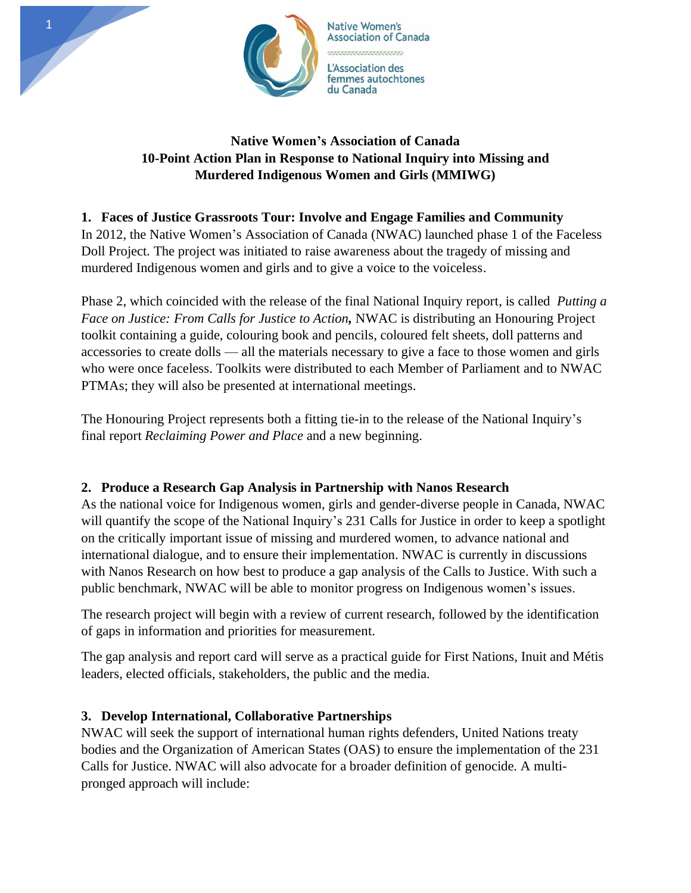

## **Native Women's Association of Canada 10-Point Action Plan in Response to National Inquiry into Missing and Murdered Indigenous Women and Girls (MMIWG)**

## **1. Faces of Justice Grassroots Tour: Involve and Engage Families and Community**

In 2012, the Native Women's Association of Canada (NWAC) launched phase 1 of the Faceless Doll Project. The project was initiated to raise awareness about the tragedy of missing and murdered Indigenous women and girls and to give a voice to the voiceless.

Phase 2, which coincided with the release of the final National Inquiry report, is called *Putting a Face on Justice: From Calls for Justice to Action,* NWAC is distributing an Honouring Project toolkit containing a guide, colouring book and pencils, coloured felt sheets, doll patterns and accessories to create dolls — all the materials necessary to give a face to those women and girls who were once faceless. Toolkits were distributed to each Member of Parliament and to NWAC PTMAs; they will also be presented at international meetings.

The Honouring Project represents both a fitting tie-in to the release of the National Inquiry's final report *Reclaiming Power and Place* and a new beginning.

### **2. Produce a Research Gap Analysis in Partnership with Nanos Research**

As the national voice for Indigenous women, girls and gender-diverse people in Canada, NWAC will quantify the scope of the National Inquiry's 231 Calls for Justice in order to keep a spotlight on the critically important issue of missing and murdered women, to advance national and international dialogue, and to ensure their implementation. NWAC is currently in discussions with Nanos Research on how best to produce a gap analysis of the Calls to Justice. With such a public benchmark, NWAC will be able to monitor progress on Indigenous women's issues.

The research project will begin with a review of current research, followed by the identification of gaps in information and priorities for measurement.

The gap analysis and report card will serve as a practical guide for First Nations, Inuit and Métis leaders, elected officials, stakeholders, the public and the media.

### **3. Develop International, Collaborative Partnerships**

NWAC will seek the support of international human rights defenders, United Nations treaty bodies and the Organization of American States (OAS) to ensure the implementation of the 231 Calls for Justice. NWAC will also advocate for a broader definition of genocide. A multipronged approach will include: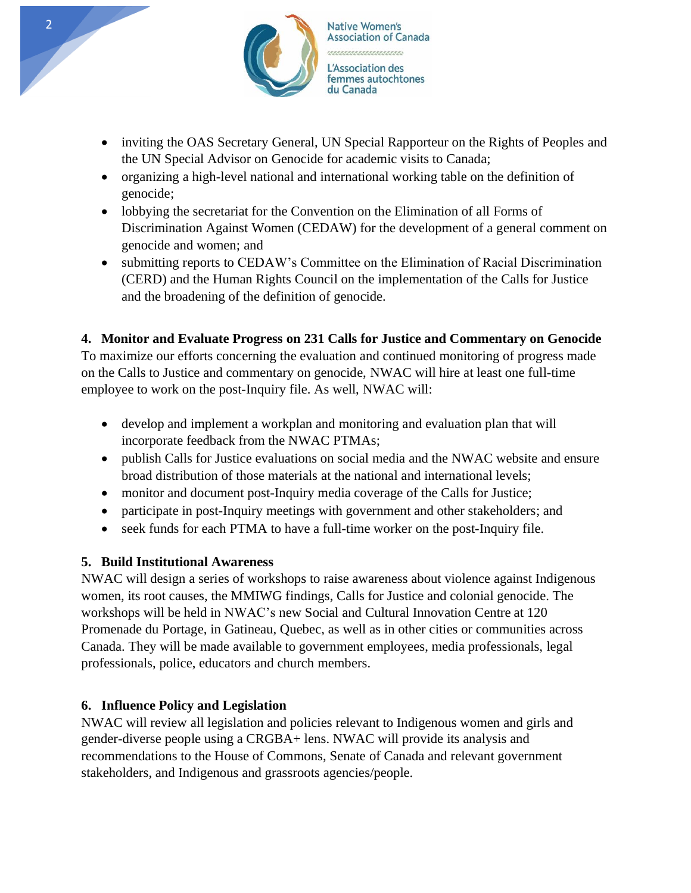

- inviting the OAS Secretary General, UN Special Rapporteur on the Rights of Peoples and the UN Special Advisor on Genocide for academic visits to Canada;
- organizing a high-level national and international working table on the definition of genocide;
- lobbying the secretariat for the Convention on the Elimination of all Forms of Discrimination Against Women (CEDAW) for the development of a general comment on genocide and women; and
- submitting reports to CEDAW's Committee on the Elimination of Racial Discrimination (CERD) and the Human Rights Council on the implementation of the Calls for Justice and the broadening of the definition of genocide.

### **4. Monitor and Evaluate Progress on 231 Calls for Justice and Commentary on Genocide**

To maximize our efforts concerning the evaluation and continued monitoring of progress made on the Calls to Justice and commentary on genocide, NWAC will hire at least one full-time employee to work on the post-Inquiry file. As well, NWAC will:

- develop and implement a workplan and monitoring and evaluation plan that will incorporate feedback from the NWAC PTMAs;
- publish Calls for Justice evaluations on social media and the NWAC website and ensure broad distribution of those materials at the national and international levels;
- monitor and document post-Inquiry media coverage of the Calls for Justice;
- participate in post-Inquiry meetings with government and other stakeholders; and
- seek funds for each PTMA to have a full-time worker on the post-Inquiry file.

### **5. Build Institutional Awareness**

NWAC will design a series of workshops to raise awareness about violence against Indigenous women, its root causes, the MMIWG findings, Calls for Justice and colonial genocide. The workshops will be held in NWAC's new Social and Cultural Innovation Centre at 120 Promenade du Portage, in Gatineau, Quebec, as well as in other cities or communities across Canada. They will be made available to government employees, media professionals, legal professionals, police, educators and church members.

#### **6. Influence Policy and Legislation**

NWAC will review all legislation and policies relevant to Indigenous women and girls and gender-diverse people using a CRGBA+ lens. NWAC will provide its analysis and recommendations to the House of Commons, Senate of Canada and relevant government stakeholders, and Indigenous and grassroots agencies/people.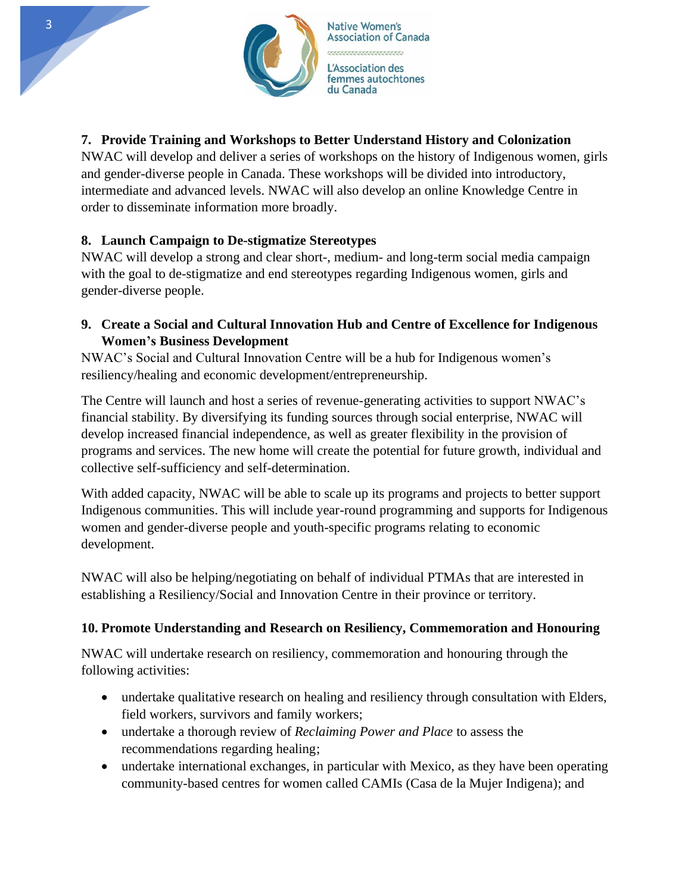

# **7. Provide Training and Workshops to Better Understand History and Colonization**

NWAC will develop and deliver a series of workshops on the history of Indigenous women, girls and gender-diverse people in Canada. These workshops will be divided into introductory, intermediate and advanced levels. NWAC will also develop an online Knowledge Centre in order to disseminate information more broadly.

### **8. Launch Campaign to De-stigmatize Stereotypes**

NWAC will develop a strong and clear short-, medium- and long-term social media campaign with the goal to de-stigmatize and end stereotypes regarding Indigenous women, girls and gender-diverse people.

**9. Create a Social and Cultural Innovation Hub and Centre of Excellence for Indigenous Women's Business Development**

NWAC's Social and Cultural Innovation Centre will be a hub for Indigenous women's resiliency/healing and economic development/entrepreneurship.

The Centre will launch and host a series of revenue-generating activities to support NWAC's financial stability. By diversifying its funding sources through social enterprise, NWAC will develop increased financial independence, as well as greater flexibility in the provision of programs and services. The new home will create the potential for future growth, individual and collective self-sufficiency and self-determination.

With added capacity, NWAC will be able to scale up its programs and projects to better support Indigenous communities. This will include year-round programming and supports for Indigenous women and gender-diverse people and youth-specific programs relating to economic development.

NWAC will also be helping/negotiating on behalf of individual PTMAs that are interested in establishing a Resiliency/Social and Innovation Centre in their province or territory.

### **10. Promote Understanding and Research on Resiliency, Commemoration and Honouring**

NWAC will undertake research on resiliency, commemoration and honouring through the following activities:

- undertake qualitative research on healing and resiliency through consultation with Elders, field workers, survivors and family workers;
- undertake a thorough review of *Reclaiming Power and Place* to assess the recommendations regarding healing;
- undertake international exchanges, in particular with Mexico, as they have been operating community-based centres for women called CAMIs (Casa de la Mujer Indigena); and